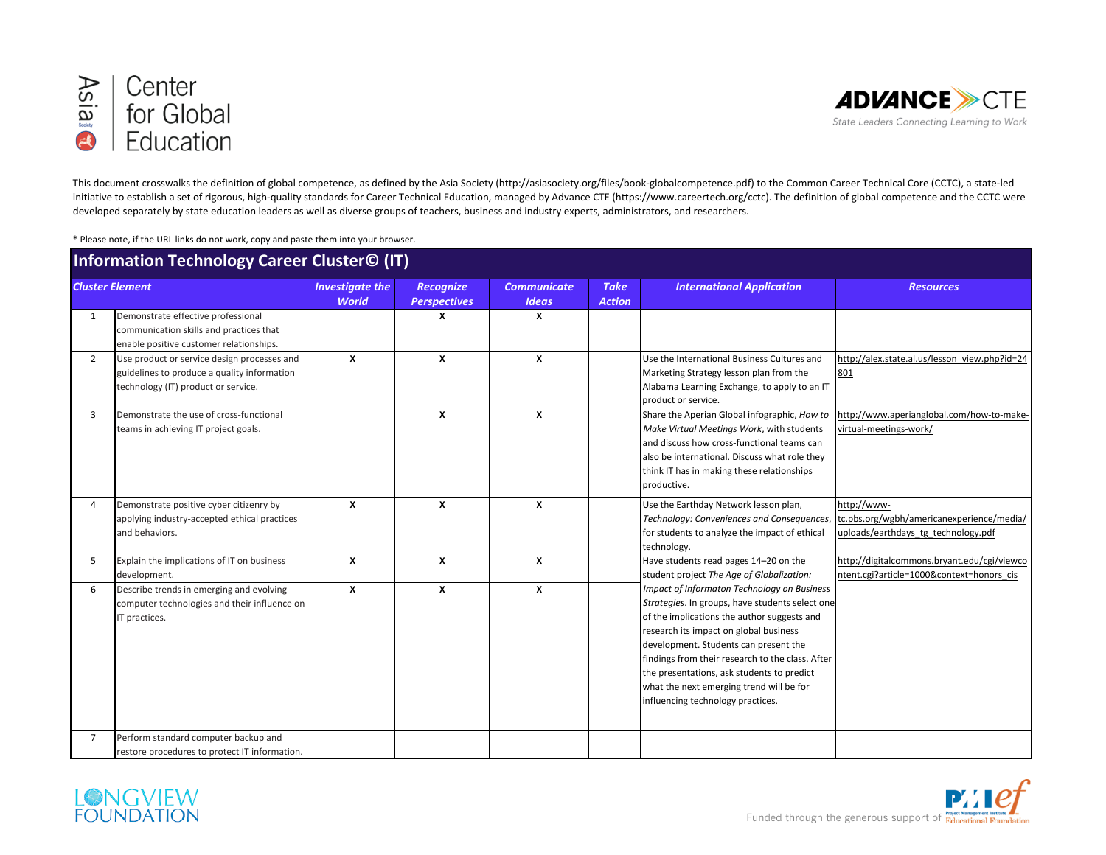



This document crosswalks the definition of global competence, as defined by the Asia Society (http://asiasociety.org/files/book-globalcompetence.pdf) to the Common Career Technical Core (CCTC), a state-led initiative to establish a set of rigorous, high-quality standards for Career Technical Education, managed by Advance CTE (https://www.careertech.org/cctc). The definition of global competence and the CCTC were developed separately by state education leaders as well as diverse groups of teachers, business and industry experts, administrators, and researchers.

\* Please note, if the URL links do not work, copy and paste them into your browser.

| Information Technology Career Cluster© (IT) |                                                                                                                                   |                                        |                                         |                                    |                              |                                                                                                                                                                                                                                                                                                                                                                                                                     |                                                                                                 |  |
|---------------------------------------------|-----------------------------------------------------------------------------------------------------------------------------------|----------------------------------------|-----------------------------------------|------------------------------------|------------------------------|---------------------------------------------------------------------------------------------------------------------------------------------------------------------------------------------------------------------------------------------------------------------------------------------------------------------------------------------------------------------------------------------------------------------|-------------------------------------------------------------------------------------------------|--|
| <b>Cluster Element</b>                      |                                                                                                                                   | <b>Investigate the</b><br><b>World</b> | <b>Recognize</b><br><b>Perspectives</b> | <b>Communicate</b><br><b>Ideas</b> | <b>Take</b><br><b>Action</b> | <b>International Application</b>                                                                                                                                                                                                                                                                                                                                                                                    | <b>Resources</b>                                                                                |  |
| 1                                           | Demonstrate effective professional<br>communication skills and practices that<br>enable positive customer relationships.          |                                        | X                                       | X                                  |                              |                                                                                                                                                                                                                                                                                                                                                                                                                     |                                                                                                 |  |
| $\overline{2}$                              | Use product or service design processes and<br>guidelines to produce a quality information<br>technology (IT) product or service. | $\boldsymbol{x}$                       | $\mathbf{x}$                            | X                                  |                              | Use the International Business Cultures and<br>Marketing Strategy lesson plan from the<br>Alabama Learning Exchange, to apply to an IT<br>product or service.                                                                                                                                                                                                                                                       | http://alex.state.al.us/lesson_view.php?id=24<br>801                                            |  |
| 3                                           | Demonstrate the use of cross-functional<br>teams in achieving IT project goals.                                                   |                                        | $\boldsymbol{x}$                        | $\mathbf{x}$                       |                              | Share the Aperian Global infographic, How to<br>Make Virtual Meetings Work, with students<br>and discuss how cross-functional teams can<br>also be international. Discuss what role they<br>think IT has in making these relationships<br>productive.                                                                                                                                                               | http://www.aperianglobal.com/how-to-make-<br>virtual-meetings-work/                             |  |
| $\overline{4}$                              | Demonstrate positive cyber citizenry by<br>applying industry-accepted ethical practices<br>and behaviors.                         | $\mathbf{x}$                           | $\boldsymbol{x}$                        | X                                  |                              | Use the Earthday Network lesson plan,<br>Technology: Conveniences and Consequences,<br>for students to analyze the impact of ethical<br>technology.                                                                                                                                                                                                                                                                 | http://www-<br>tc.pbs.org/wgbh/americanexperience/media/<br>uploads/earthdays tg technology.pdf |  |
| 5                                           | Explain the implications of IT on business<br>development.                                                                        | X                                      | $\boldsymbol{x}$                        | X                                  |                              | Have students read pages 14-20 on the<br>student project The Age of Globalization:                                                                                                                                                                                                                                                                                                                                  | http://digitalcommons.bryant.edu/cgi/viewco<br>ntent.cgi?article=1000&context=honors cis        |  |
| 6                                           | Describe trends in emerging and evolving<br>computer technologies and their influence on<br>IT practices.                         | $\boldsymbol{x}$                       | $\boldsymbol{x}$                        | X                                  |                              | Impact of Informaton Technology on Business<br>Strategies. In groups, have students select one<br>of the implications the author suggests and<br>research its impact on global business<br>development. Students can present the<br>findings from their research to the class. After<br>the presentations, ask students to predict<br>what the next emerging trend will be for<br>influencing technology practices. |                                                                                                 |  |
| $\overline{7}$                              | Perform standard computer backup and<br>restore procedures to protect IT information.                                             |                                        |                                         |                                    |                              |                                                                                                                                                                                                                                                                                                                                                                                                                     |                                                                                                 |  |

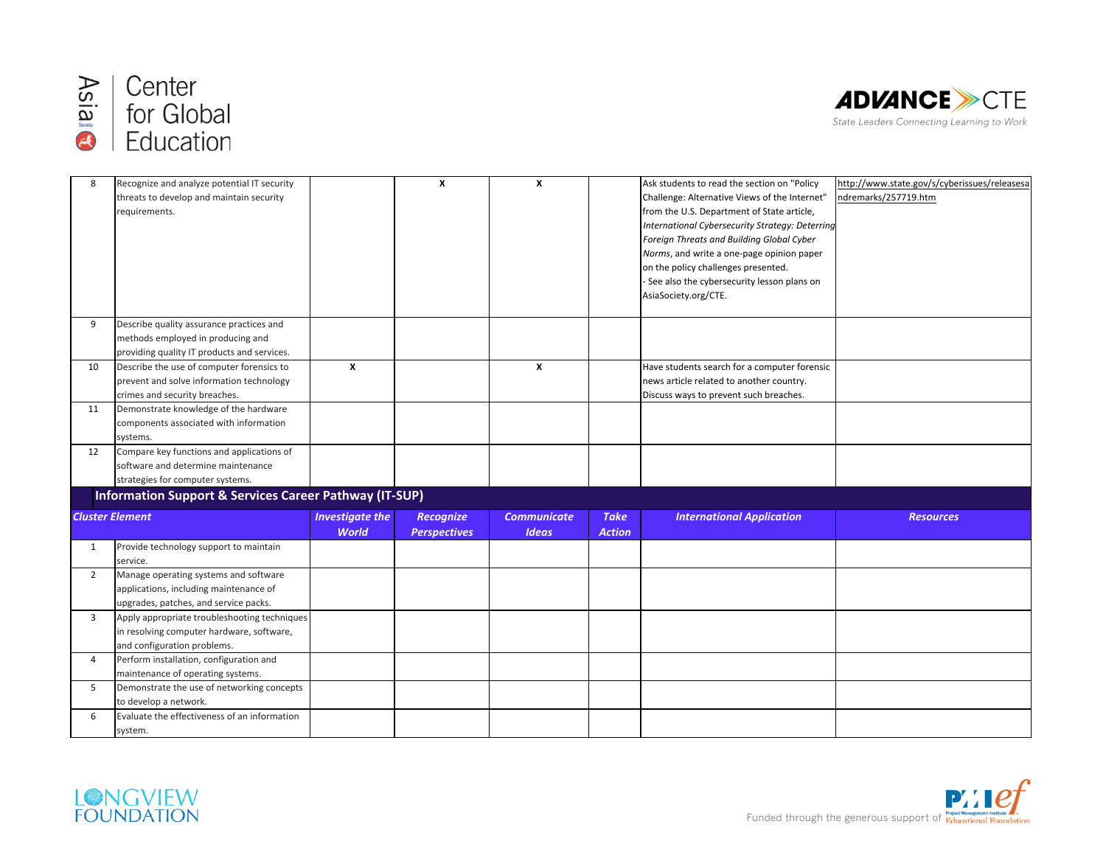



| 8              | Recognize and analyze potential IT security                       |                        | X                   | X                  |               | Ask students to read the section on "Policy"    | http://www.state.gov/s/cyberissues/releasesa |
|----------------|-------------------------------------------------------------------|------------------------|---------------------|--------------------|---------------|-------------------------------------------------|----------------------------------------------|
|                | threats to develop and maintain security                          |                        |                     |                    |               | Challenge: Alternative Views of the Internet"   | ndremarks/257719.htm                         |
|                | requirements.                                                     |                        |                     |                    |               | from the U.S. Department of State article,      |                                              |
|                |                                                                   |                        |                     |                    |               | International Cybersecurity Strategy: Deterring |                                              |
|                |                                                                   |                        |                     |                    |               | Foreign Threats and Building Global Cyber       |                                              |
|                |                                                                   |                        |                     |                    |               | Norms, and write a one-page opinion paper       |                                              |
|                |                                                                   |                        |                     |                    |               | on the policy challenges presented.             |                                              |
|                |                                                                   |                        |                     |                    |               | - See also the cybersecurity lesson plans on    |                                              |
|                |                                                                   |                        |                     |                    |               | AsiaSociety.org/CTE.                            |                                              |
|                |                                                                   |                        |                     |                    |               |                                                 |                                              |
| 9              | Describe quality assurance practices and                          |                        |                     |                    |               |                                                 |                                              |
|                | methods employed in producing and                                 |                        |                     |                    |               |                                                 |                                              |
|                | providing quality IT products and services.                       |                        |                     |                    |               |                                                 |                                              |
| 10             | Describe the use of computer forensics to                         | X                      |                     | X                  |               | Have students search for a computer forensic    |                                              |
|                | prevent and solve information technology                          |                        |                     |                    |               | news article related to another country.        |                                              |
|                | crimes and security breaches.                                     |                        |                     |                    |               | Discuss ways to prevent such breaches.          |                                              |
| 11             | Demonstrate knowledge of the hardware                             |                        |                     |                    |               |                                                 |                                              |
|                | components associated with information                            |                        |                     |                    |               |                                                 |                                              |
|                | systems.                                                          |                        |                     |                    |               |                                                 |                                              |
| 12             | Compare key functions and applications of                         |                        |                     |                    |               |                                                 |                                              |
|                | software and determine maintenance                                |                        |                     |                    |               |                                                 |                                              |
|                | strategies for computer systems.                                  |                        |                     |                    |               |                                                 |                                              |
|                | <b>Information Support &amp; Services Career Pathway (IT-SUP)</b> |                        |                     |                    |               |                                                 |                                              |
|                |                                                                   |                        |                     |                    |               |                                                 |                                              |
|                | <b>Cluster Element</b>                                            | <b>Investigate the</b> | <b>Recognize</b>    | <b>Communicate</b> | <b>Take</b>   | <b>International Application</b>                | <b>Resources</b>                             |
|                |                                                                   | <b>World</b>           | <b>Perspectives</b> | <b>Ideas</b>       | <b>Action</b> |                                                 |                                              |
| $\mathbf{1}$   | Provide technology support to maintain                            |                        |                     |                    |               |                                                 |                                              |
|                | service.                                                          |                        |                     |                    |               |                                                 |                                              |
| $\overline{2}$ | Manage operating systems and software                             |                        |                     |                    |               |                                                 |                                              |
|                | applications, including maintenance of                            |                        |                     |                    |               |                                                 |                                              |
|                | upgrades, patches, and service packs.                             |                        |                     |                    |               |                                                 |                                              |
| $\overline{3}$ | Apply appropriate troubleshooting techniques                      |                        |                     |                    |               |                                                 |                                              |
|                | in resolving computer hardware, software,                         |                        |                     |                    |               |                                                 |                                              |
|                | and configuration problems.                                       |                        |                     |                    |               |                                                 |                                              |
| $\overline{a}$ | Perform installation, configuration and                           |                        |                     |                    |               |                                                 |                                              |
|                | maintenance of operating systems.                                 |                        |                     |                    |               |                                                 |                                              |
| 5              | Demonstrate the use of networking concepts                        |                        |                     |                    |               |                                                 |                                              |
|                | to develop a network.                                             |                        |                     |                    |               |                                                 |                                              |
| 6              | Evaluate the effectiveness of an information                      |                        |                     |                    |               |                                                 |                                              |
|                | system.                                                           |                        |                     |                    |               |                                                 |                                              |



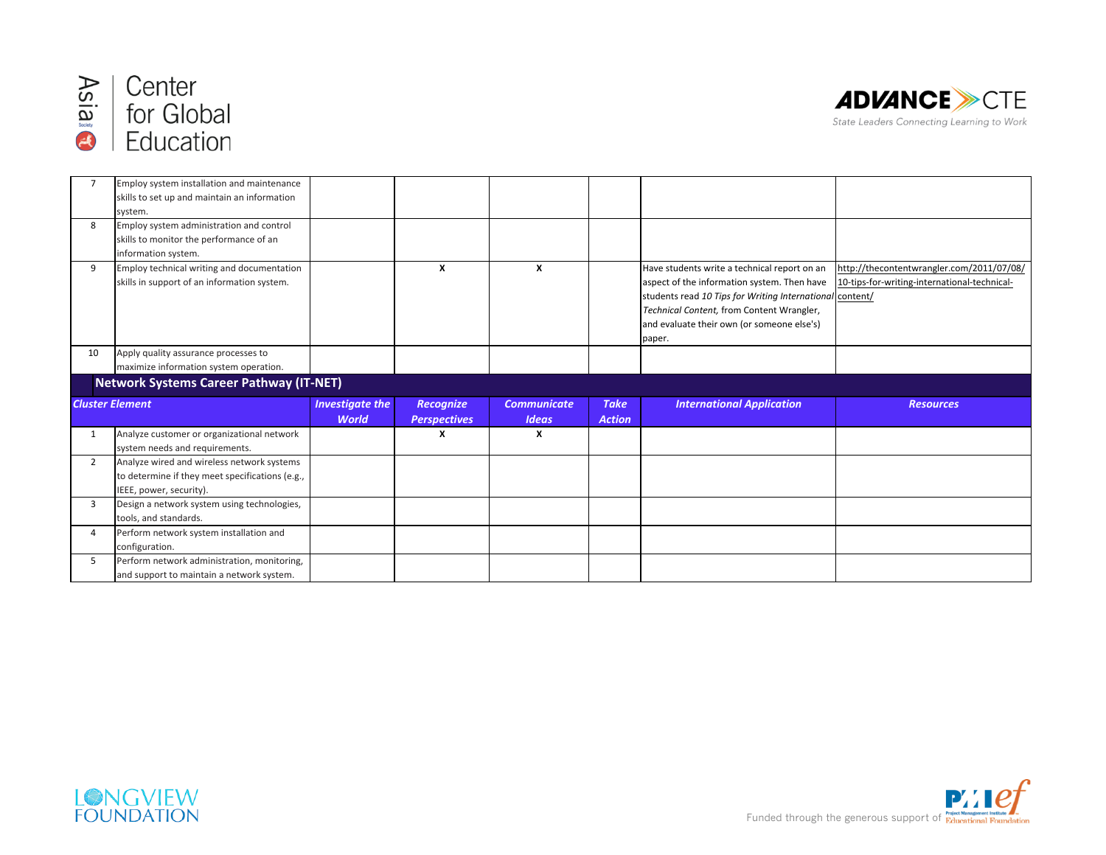



|                | Employ system installation and maintenance      |                        |                     |                    |               |                                                          |                                              |
|----------------|-------------------------------------------------|------------------------|---------------------|--------------------|---------------|----------------------------------------------------------|----------------------------------------------|
|                | skills to set up and maintain an information    |                        |                     |                    |               |                                                          |                                              |
|                | system.                                         |                        |                     |                    |               |                                                          |                                              |
| 8              | Employ system administration and control        |                        |                     |                    |               |                                                          |                                              |
|                | skills to monitor the performance of an         |                        |                     |                    |               |                                                          |                                              |
|                | information system.                             |                        |                     |                    |               |                                                          |                                              |
| 9              | Employ technical writing and documentation      |                        | X                   | X                  |               | Have students write a technical report on an             | http://thecontentwrangler.com/2011/07/08/    |
|                | skills in support of an information system.     |                        |                     |                    |               | aspect of the information system. Then have              | 10-tips-for-writing-international-technical- |
|                |                                                 |                        |                     |                    |               | students read 10 Tips for Writing International content/ |                                              |
|                |                                                 |                        |                     |                    |               | Technical Content, from Content Wrangler,                |                                              |
|                |                                                 |                        |                     |                    |               | and evaluate their own (or someone else's)               |                                              |
|                |                                                 |                        |                     |                    |               | paper.                                                   |                                              |
| 10             | Apply quality assurance processes to            |                        |                     |                    |               |                                                          |                                              |
|                | maximize information system operation.          |                        |                     |                    |               |                                                          |                                              |
|                | <b>Network Systems Career Pathway (IT-NET)</b>  |                        |                     |                    |               |                                                          |                                              |
|                |                                                 |                        |                     |                    |               |                                                          |                                              |
|                | <b>Cluster Element</b>                          | <b>Investigate the</b> | <b>Recognize</b>    | <b>Communicate</b> | <b>Take</b>   | <b>International Application</b>                         | <b>Resources</b>                             |
|                |                                                 | <b>World</b>           | <b>Perspectives</b> | <b>Ideas</b>       | <b>Action</b> |                                                          |                                              |
|                |                                                 |                        |                     |                    |               |                                                          |                                              |
| $\mathbf{1}$   | Analyze customer or organizational network      |                        | X                   | X                  |               |                                                          |                                              |
|                | system needs and requirements.                  |                        |                     |                    |               |                                                          |                                              |
| $\overline{2}$ | Analyze wired and wireless network systems      |                        |                     |                    |               |                                                          |                                              |
|                | to determine if they meet specifications (e.g., |                        |                     |                    |               |                                                          |                                              |
|                | IEEE, power, security).                         |                        |                     |                    |               |                                                          |                                              |
| 3              | Design a network system using technologies,     |                        |                     |                    |               |                                                          |                                              |
|                | tools, and standards.                           |                        |                     |                    |               |                                                          |                                              |
| $\overline{a}$ | Perform network system installation and         |                        |                     |                    |               |                                                          |                                              |
|                | configuration.                                  |                        |                     |                    |               |                                                          |                                              |
| 5              | Perform network administration, monitoring,     |                        |                     |                    |               |                                                          |                                              |



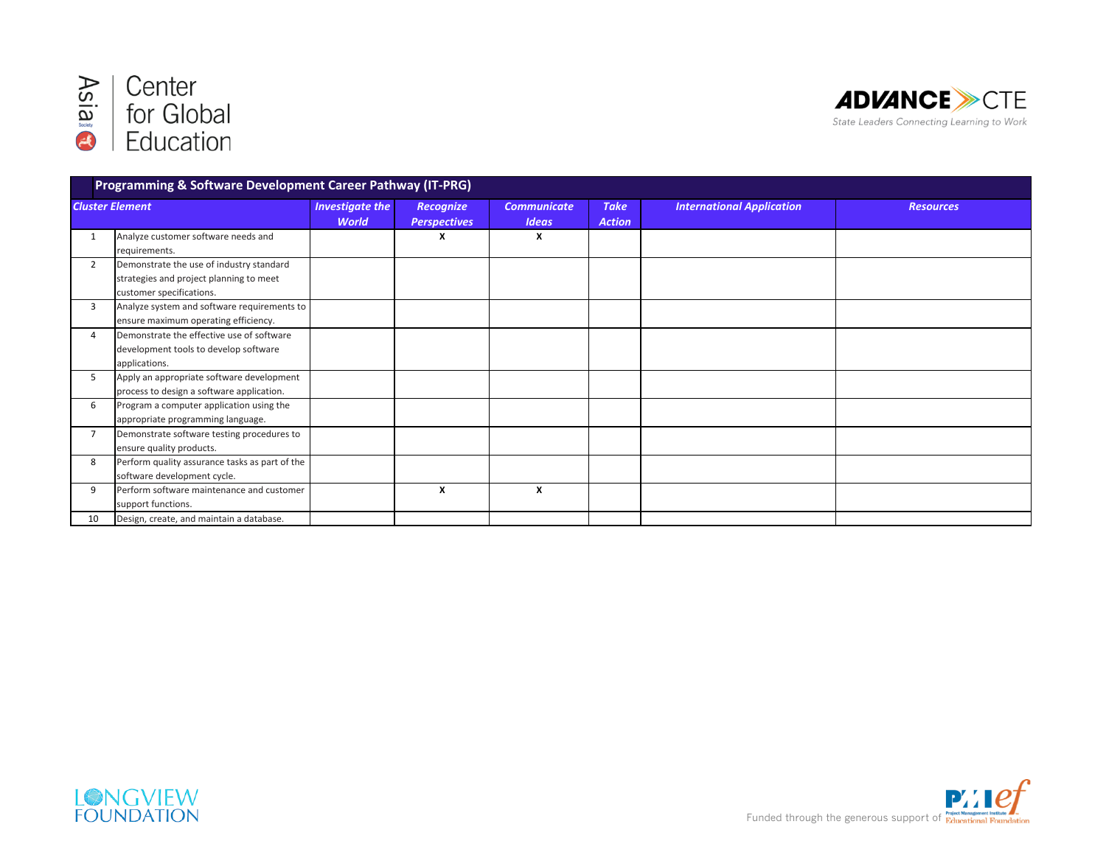



| Programming & Software Development Career Pathway (IT-PRG) |                                                                                                                 |                                        |                                  |                                    |                              |                                  |                  |
|------------------------------------------------------------|-----------------------------------------------------------------------------------------------------------------|----------------------------------------|----------------------------------|------------------------------------|------------------------------|----------------------------------|------------------|
| <b>Cluster Element</b>                                     |                                                                                                                 | <b>Investigate the</b><br><b>World</b> | Recognize<br><b>Perspectives</b> | <b>Communicate</b><br><b>Ideas</b> | <b>Take</b><br><b>Action</b> | <b>International Application</b> | <b>Resources</b> |
|                                                            | Analyze customer software needs and<br>requirements.                                                            |                                        | x                                | X                                  |                              |                                  |                  |
| $\overline{2}$                                             | Demonstrate the use of industry standard<br>strategies and project planning to meet<br>customer specifications. |                                        |                                  |                                    |                              |                                  |                  |
| 3                                                          | Analyze system and software requirements to<br>ensure maximum operating efficiency.                             |                                        |                                  |                                    |                              |                                  |                  |
| 4                                                          | Demonstrate the effective use of software<br>development tools to develop software<br>applications.             |                                        |                                  |                                    |                              |                                  |                  |
| .5                                                         | Apply an appropriate software development<br>process to design a software application.                          |                                        |                                  |                                    |                              |                                  |                  |
| 6                                                          | Program a computer application using the<br>appropriate programming language.                                   |                                        |                                  |                                    |                              |                                  |                  |
|                                                            | Demonstrate software testing procedures to<br>ensure quality products.                                          |                                        |                                  |                                    |                              |                                  |                  |
| 8                                                          | Perform quality assurance tasks as part of the<br>software development cycle.                                   |                                        |                                  |                                    |                              |                                  |                  |
| 9                                                          | Perform software maintenance and customer<br>support functions.                                                 |                                        | X                                | X                                  |                              |                                  |                  |
| 10                                                         | Design, create, and maintain a database.                                                                        |                                        |                                  |                                    |                              |                                  |                  |